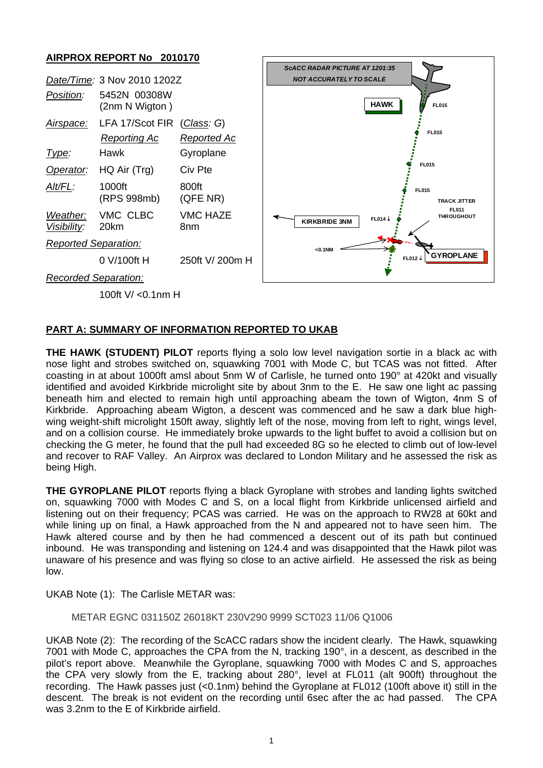## **AIRPROX REPORT No 2010170**



### **PART A: SUMMARY OF INFORMATION REPORTED TO UKAB**

**THE HAWK (STUDENT) PILOT** reports flying a solo low level navigation sortie in a black ac with nose light and strobes switched on, squawking 7001 with Mode C, but TCAS was not fitted. After coasting in at about 1000ft amsl about 5nm W of Carlisle, he turned onto 190° at 420kt and visually identified and avoided Kirkbride microlight site by about 3nm to the E. He saw one light ac passing beneath him and elected to remain high until approaching abeam the town of Wigton, 4nm S of Kirkbride. Approaching abeam Wigton, a descent was commenced and he saw a dark blue highwing weight-shift microlight 150ft away, slightly left of the nose, moving from left to right, wings level, and on a collision course. He immediately broke upwards to the light buffet to avoid a collision but on checking the G meter, he found that the pull had exceeded 8G so he elected to climb out of low-level and recover to RAF Valley. An Airprox was declared to London Military and he assessed the risk as being High.

**THE GYROPLANE PILOT** reports flying a black Gyroplane with strobes and landing lights switched on, squawking 7000 with Modes C and S, on a local flight from Kirkbride unlicensed airfield and listening out on their frequency; PCAS was carried. He was on the approach to RW28 at 60kt and while lining up on final, a Hawk approached from the N and appeared not to have seen him. The Hawk altered course and by then he had commenced a descent out of its path but continued inbound. He was transponding and listening on 124.4 and was disappointed that the Hawk pilot was unaware of his presence and was flying so close to an active airfield. He assessed the risk as being low.

UKAB Note (1): The Carlisle METAR was:

#### METAR EGNC 031150Z 26018KT 230V290 9999 SCT023 11/06 Q1006

UKAB Note (2): The recording of the ScACC radars show the incident clearly. The Hawk, squawking 7001 with Mode C, approaches the CPA from the N, tracking 190°, in a descent, as described in the pilot's report above. Meanwhile the Gyroplane, squawking 7000 with Modes C and S, approaches the CPA very slowly from the E, tracking about 280°, level at FL011 (alt 900ft) throughout the recording. The Hawk passes just (<0.1nm) behind the Gyroplane at FL012 (100ft above it) still in the descent. The break is not evident on the recording until 6sec after the ac had passed. The CPA was 3.2nm to the E of Kirkbride airfield.